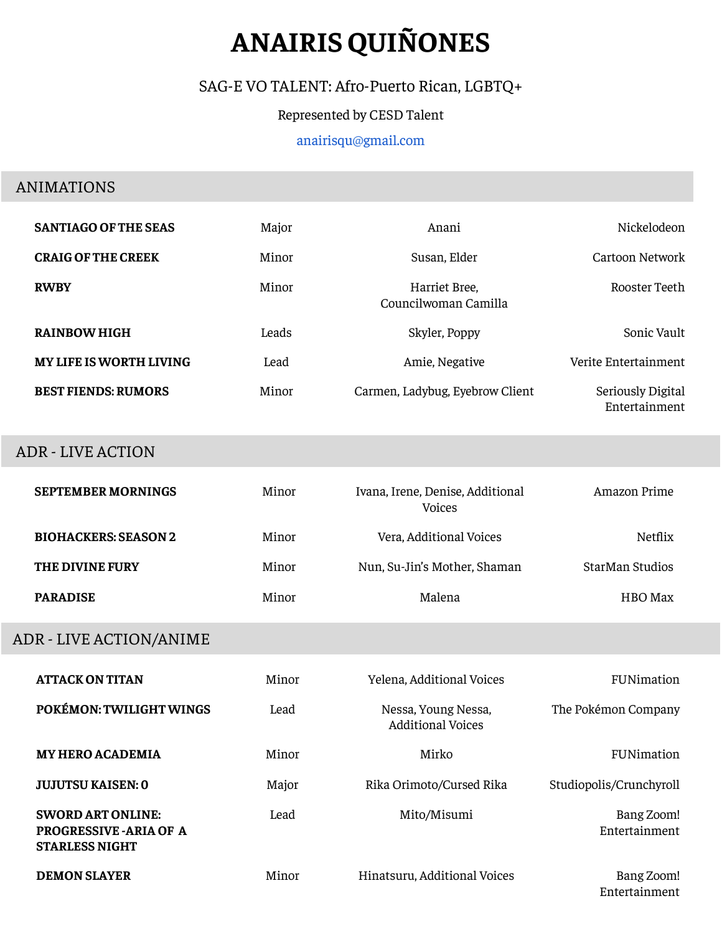# **ANAIRIS QUIÑONES**

## SAG-E VO TALENT: Afro-Puerto Rican, LGBTQ+

#### Represented by CESD Talent

#### [anairisqu](mailto:anairisquinones@outlook.com)@gmail.com

#### ANIMATIONS

| <b>SANTIAGO OF THE SEAS</b>    | Major | Anani                                 | Nickelodeon                        |
|--------------------------------|-------|---------------------------------------|------------------------------------|
| <b>CRAIG OF THE CREEK</b>      | Minor | Susan, Elder                          | Cartoon Network                    |
| <b>RWBY</b>                    | Minor | Harriet Bree,<br>Councilwoman Camilla | Rooster Teeth                      |
| <b>RAINBOW HIGH</b>            | Leads | Skyler, Poppy                         | Sonic Vault                        |
| <b>MY LIFE IS WORTH LIVING</b> | Lead  | Amie, Negative                        | Verite Entertainment               |
| <b>BEST FIENDS: RUMORS</b>     | Minor | Carmen, Ladybug, Eyebrow Client       | Seriously Digital<br>Entertainment |

#### ADR - LIVE ACTION

| <b>SEPTEMBER MORNINGS</b>   | Minor | Ivana, Irene, Denise, Additional<br><b>Voices</b> | Amazon Prime    |
|-----------------------------|-------|---------------------------------------------------|-----------------|
| <b>BIOHACKERS: SEASON 2</b> | Minor | Vera, Additional Voices                           | Netflix         |
| THE DIVINE FURY             | Minor | Nun, Su-Jin's Mother, Shaman                      | StarMan Studios |
| <b>PARADISE</b>             | Minor | Malena                                            | HBO Max         |

## ADR - LIVE ACTION/ANIME

| <b>ATTACK ON TITAN</b>                                                              | Minor | Yelena, Additional Voices                       | FUNimation                  |
|-------------------------------------------------------------------------------------|-------|-------------------------------------------------|-----------------------------|
| POKÉMON: TWILIGHT WINGS                                                             | Lead  | Nessa, Young Nessa,<br><b>Additional Voices</b> | The Pokémon Company         |
| <b>MY HERO ACADEMIA</b>                                                             | Minor | Mirko                                           | FUNimation                  |
| <b>JUJUTSU KAISEN: 0</b>                                                            | Major | Rika Orimoto/Cursed Rika                        | Studiopolis/Crunchyroll     |
| <b>SWORD ART ONLINE:</b><br><b>PROGRESSIVE - ARIA OF A</b><br><b>STARLESS NIGHT</b> | Lead  | Mito/Misumi                                     | Bang Zoom!<br>Entertainment |
| <b>DEMON SLAYER</b>                                                                 | Minor | Hinatsuru, Additional Voices                    | Bang Zoom!<br>Entertainment |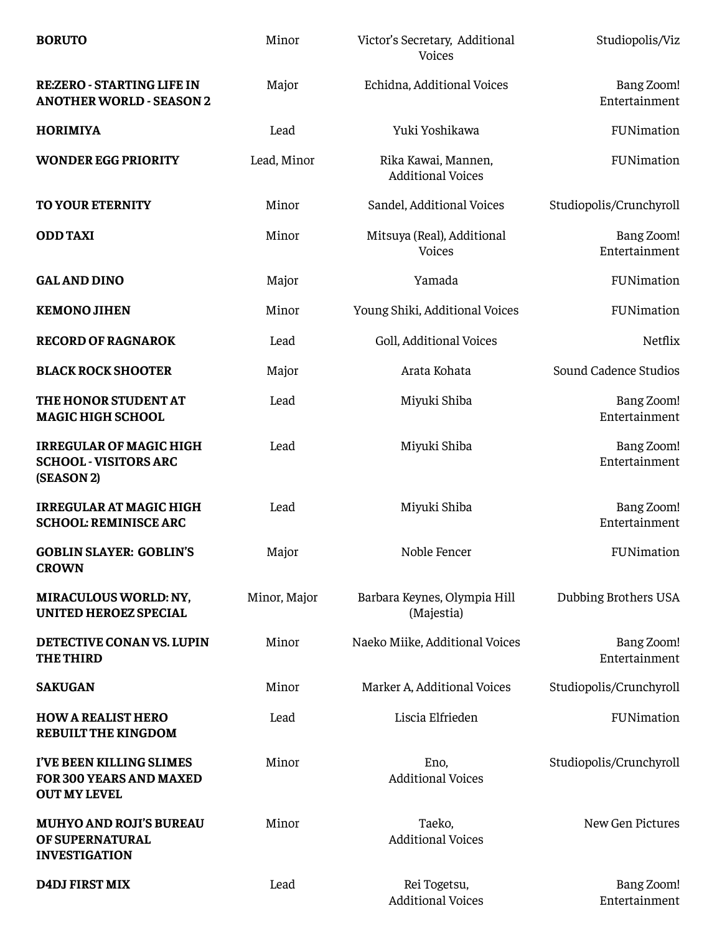| <b>BORUTO</b>                                                                | Minor        | Victor's Secretary, Additional<br>Voices        | Studiopolis/Viz             |
|------------------------------------------------------------------------------|--------------|-------------------------------------------------|-----------------------------|
| <b>RE:ZERO - STARTING LIFE IN</b><br><b>ANOTHER WORLD - SEASON 2</b>         | Major        | Echidna, Additional Voices                      | Bang Zoom!<br>Entertainment |
| <b>HORIMIYA</b>                                                              | Lead         | Yuki Yoshikawa                                  | FUNimation                  |
| <b>WONDER EGG PRIORITY</b>                                                   | Lead, Minor  | Rika Kawai, Mannen,<br><b>Additional Voices</b> | FUNimation                  |
| <b>TO YOUR ETERNITY</b>                                                      | Minor        | Sandel, Additional Voices                       | Studiopolis/Crunchyroll     |
| <b>ODD TAXI</b>                                                              | Minor        | Mitsuya (Real), Additional<br>Voices            | Bang Zoom!<br>Entertainment |
| <b>GAL AND DINO</b>                                                          | Major        | Yamada                                          | FUNimation                  |
| <b>KEMONO JIHEN</b>                                                          | Minor        | Young Shiki, Additional Voices                  | FUNimation                  |
| <b>RECORD OF RAGNAROK</b>                                                    | Lead         | Goll, Additional Voices                         | Netflix                     |
| <b>BLACK ROCK SHOOTER</b>                                                    | Major        | Arata Kohata                                    | Sound Cadence Studios       |
| THE HONOR STUDENT AT<br><b>MAGIC HIGH SCHOOL</b>                             | Lead         | Miyuki Shiba                                    | Bang Zoom!<br>Entertainment |
| <b>IRREGULAR OF MAGIC HIGH</b><br><b>SCHOOL - VISITORS ARC</b><br>(SEASON 2) | Lead         | Miyuki Shiba                                    | Bang Zoom!<br>Entertainment |
| <b>IRREGULAR AT MAGIC HIGH</b><br><b>SCHOOL: REMINISCE ARC</b>               | Lead         | Miyuki Shiba                                    | Bang Zoom!<br>Entertainment |
| <b>GOBLIN SLAYER: GOBLIN'S</b><br><b>CROWN</b>                               | Major        | Noble Fencer                                    | FUNimation                  |
| <b>MIRACULOUS WORLD: NY,</b><br><b>UNITED HEROEZ SPECIAL</b>                 | Minor, Major | Barbara Keynes, Olympia Hill<br>(Majestia)      | Dubbing Brothers USA        |
| DETECTIVE CONAN VS. LUPIN<br><b>THE THIRD</b>                                | Minor        | Naeko Miike, Additional Voices                  | Bang Zoom!<br>Entertainment |
| <b>SAKUGAN</b>                                                               | Minor        | Marker A, Additional Voices                     | Studiopolis/Crunchyroll     |
| <b>HOW A REALIST HERO</b><br><b>REBUILT THE KINGDOM</b>                      | Lead         | Liscia Elfrieden                                | FUNimation                  |
| I'VE BEEN KILLING SLIMES<br>FOR 300 YEARS AND MAXED<br><b>OUT MY LEVEL</b>   | Minor        | Eno,<br><b>Additional Voices</b>                | Studiopolis/Crunchyroll     |
| <b>MUHYO AND ROJI'S BUREAU</b><br>OF SUPERNATURAL<br><b>INVESTIGATION</b>    | Minor        | Taeko,<br><b>Additional Voices</b>              | New Gen Pictures            |
| <b>D4DJ FIRST MIX</b>                                                        | Lead         | Rei Togetsu,<br><b>Additional Voices</b>        | Bang Zoom!<br>Entertainment |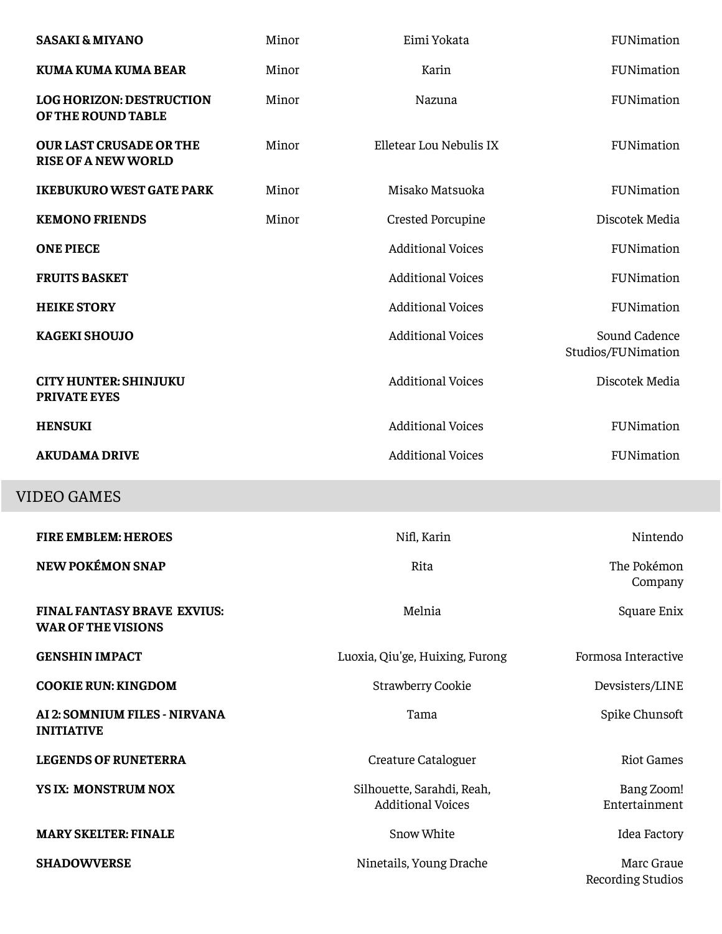| <b>SASAKI &amp; MIYANO</b>                                      | Minor | Eimi Yokata                                            | FUNimation                          |
|-----------------------------------------------------------------|-------|--------------------------------------------------------|-------------------------------------|
| <b>KUMA KUMA KUMA BEAR</b>                                      | Minor | Karin                                                  | FUNimation                          |
| <b>LOG HORIZON: DESTRUCTION</b><br>OF THE ROUND TABLE           | Minor | Nazuna                                                 | FUNimation                          |
| <b>OUR LAST CRUSADE OR THE</b><br><b>RISE OF A NEW WORLD</b>    | Minor | Elletear Lou Nebulis IX                                | FUNimation                          |
| <b>IKEBUKURO WEST GATE PARK</b>                                 | Minor | Misako Matsuoka                                        | FUNimation                          |
| <b>KEMONO FRIENDS</b>                                           | Minor | Crested Porcupine                                      | Discotek Media                      |
| <b>ONE PIECE</b>                                                |       | <b>Additional Voices</b>                               | FUNimation                          |
| <b>FRUITS BASKET</b>                                            |       | <b>Additional Voices</b>                               | FUNimation                          |
| <b>HEIKE STORY</b>                                              |       | <b>Additional Voices</b>                               | FUNimation                          |
| <b>KAGEKI SHOUJO</b>                                            |       | <b>Additional Voices</b>                               | Sound Cadence<br>Studios/FUNimation |
| <b>CITY HUNTER: SHINJUKU</b><br><b>PRIVATE EYES</b>             |       | <b>Additional Voices</b>                               | Discotek Media                      |
| <b>HENSUKI</b>                                                  |       | <b>Additional Voices</b>                               | FUNimation                          |
| <b>AKUDAMA DRIVE</b>                                            |       | <b>Additional Voices</b>                               | FUNimation                          |
| <b>VIDEO GAMES</b>                                              |       |                                                        |                                     |
| <b>FIRE EMBLEM: HEROES</b>                                      |       | Nifl, Karin                                            | Nintendo                            |
| <b>NEW POKÉMON SNAP</b>                                         |       | Rita                                                   | The Pokémon                         |
|                                                                 |       |                                                        | Company                             |
| <b>FINAL FANTASY BRAVE EXVIUS:</b><br><b>WAR OF THE VISIONS</b> |       | Melnia                                                 | Square Enix                         |
| <b>GENSHIN IMPACT</b>                                           |       | Luoxia, Qiu'ge, Huixing, Furong                        | Formosa Interactive                 |
| <b>COOKIE RUN: KINGDOM</b>                                      |       | <b>Strawberry Cookie</b>                               | Devsisters/LINE                     |
| AI 2: SOMNIUM FILES - NIRVANA<br><b>INITIATIVE</b>              |       | Tama                                                   | Spike Chunsoft                      |
| <b>LEGENDS OF RUNETERRA</b>                                     |       | Creature Cataloguer                                    | <b>Riot Games</b>                   |
| YS IX: MONSTRUM NOX                                             |       | Silhouette, Sarahdi, Reah,<br><b>Additional Voices</b> | Bang Zoom!<br>Entertainment         |
| <b>MARY SKELTER: FINALE</b>                                     |       | Snow White                                             | Idea Factory                        |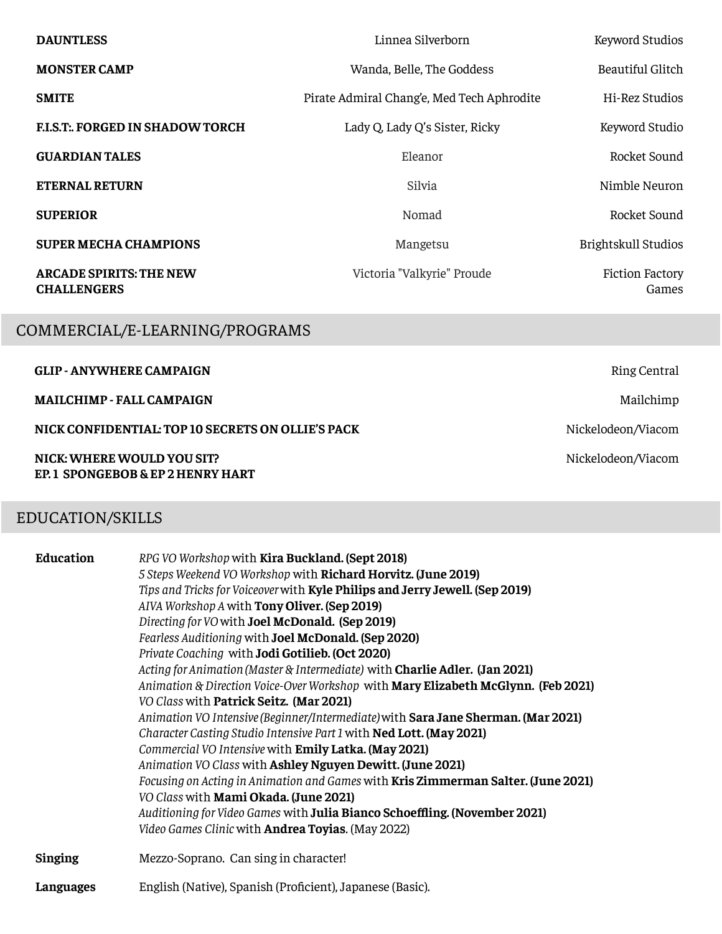| <b>DAUNTLESS</b>                                     | Linnea Silverborn                          | Keyword Studios                 |
|------------------------------------------------------|--------------------------------------------|---------------------------------|
| <b>MONSTER CAMP</b>                                  | Wanda, Belle, The Goddess                  | Beautiful Glitch                |
| <b>SMITE</b>                                         | Pirate Admiral Chang'e, Med Tech Aphrodite | Hi-Rez Studios                  |
| <b>F.I.S.T. FORGED IN SHADOW TORCH</b>               | Lady Q, Lady Q's Sister, Ricky             | Keyword Studio                  |
| <b>GUARDIAN TALES</b>                                | Eleanor                                    | Rocket Sound                    |
| <b>ETERNAL RETURN</b>                                | Silvia                                     | Nimble Neuron                   |
| <b>SUPERIOR</b>                                      | Nomad                                      | Rocket Sound                    |
| <b>SUPER MECHA CHAMPIONS</b>                         | Mangetsu                                   | Brightskull Studios             |
| <b>ARCADE SPIRITS: THE NEW</b><br><b>CHALLENGERS</b> | Victoria "Valkyrie" Proude                 | <b>Fiction Factory</b><br>Games |

# COMMERCIAL/E-LEARNING/PROGRAMS

| <b>GLIP - ANYWHERE CAMPAIGN</b>                                | Ring Central       |
|----------------------------------------------------------------|--------------------|
| <b>MAILCHIMP - FALL CAMPAIGN</b>                               | Mailchimp          |
| NICK CONFIDENTIAL: TOP 10 SECRETS ON OLLIE'S PACK              | Nickelodeon/Viacom |
| NICK: WHERE WOULD YOU SIT?<br>EP.1 SPONGEBOB & EP 2 HENRY HART | Nickelodeon/Viacom |

# EDUCATION/SKILLS

| Education      | RPG VO Workshop with Kira Buckland. (Sept 2018)<br>5 Steps Weekend VO Workshop with Richard Horvitz. (June 2019)<br>Tips and Tricks for Voiceover with Kyle Philips and Jerry Jewell. (Sep 2019)<br>AIVA Workshop A with Tony Oliver. (Sep 2019)<br>Directing for VO with Joel McDonald. (Sep 2019)<br>Fearless Auditioning with Joel McDonald. (Sep 2020)<br>Private Coaching with Jodi Gotilieb. (Oct 2020)<br>Acting for Animation (Master & Intermediate) with Charlie Adler. (Jan 2021)<br>Animation & Direction Voice-Over Workshop with Mary Elizabeth McGlynn. (Feb 2021)<br>VO Class with Patrick Seitz. (Mar 2021)<br>Animation VO Intensive (Beginner/Intermediate) with Sara Jane Sherman. (Mar 2021)<br>Character Casting Studio Intensive Part 1 with Ned Lott. (May 2021)<br>Commercial VO Intensive with Emily Latka. (May 2021)<br>Animation VO Class with Ashley Nguyen Dewitt. (June 2021)<br>Focusing on Acting in Animation and Games with Kris Zimmerman Salter. (June 2021)<br>VO Class with Mami Okada. (June 2021)<br>Auditioning for Video Games with Julia Bianco Schoeffling. (November 2021)<br>Video Games Clinic with <b>Andrea Toyias</b> . (May 2022) |
|----------------|----------------------------------------------------------------------------------------------------------------------------------------------------------------------------------------------------------------------------------------------------------------------------------------------------------------------------------------------------------------------------------------------------------------------------------------------------------------------------------------------------------------------------------------------------------------------------------------------------------------------------------------------------------------------------------------------------------------------------------------------------------------------------------------------------------------------------------------------------------------------------------------------------------------------------------------------------------------------------------------------------------------------------------------------------------------------------------------------------------------------------------------------------------------------------------------|
| <b>Singing</b> | Mezzo-Soprano. Can sing in character!                                                                                                                                                                                                                                                                                                                                                                                                                                                                                                                                                                                                                                                                                                                                                                                                                                                                                                                                                                                                                                                                                                                                                  |
| Languages      | English (Native), Spanish (Proficient), Japanese (Basic).                                                                                                                                                                                                                                                                                                                                                                                                                                                                                                                                                                                                                                                                                                                                                                                                                                                                                                                                                                                                                                                                                                                              |